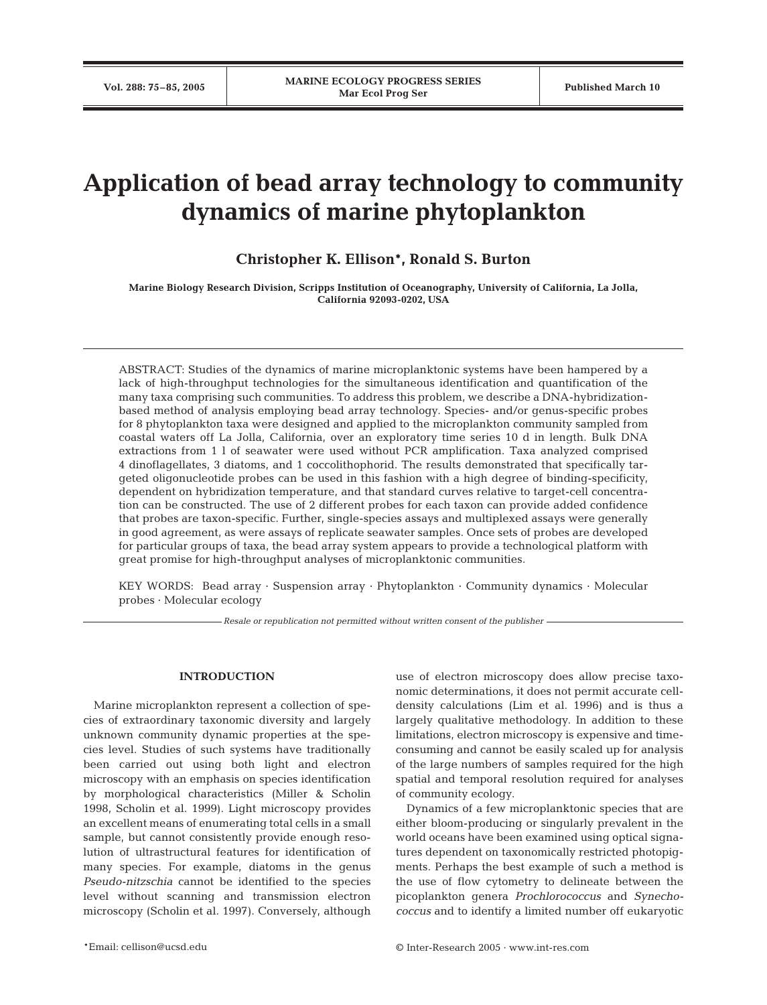# **Application of bead array technology to community dynamics of marine phytoplankton**

## **Christopher K. Ellison\*, Ronald S. Burton**

**Marine Biology Research Division, Scripps Institution of Oceanography, University of California, La Jolla, California 92093-0202, USA**

ABSTRACT: Studies of the dynamics of marine microplanktonic systems have been hampered by a lack of high-throughput technologies for the simultaneous identification and quantification of the many taxa comprising such communities. To address this problem, we describe a DNA-hybridizationbased method of analysis employing bead array technology. Species- and/or genus-specific probes for 8 phytoplankton taxa were designed and applied to the microplankton community sampled from coastal waters off La Jolla, California, over an exploratory time series 10 d in length. Bulk DNA extractions from 1 l of seawater were used without PCR amplification. Taxa analyzed comprised 4 dinoflagellates, 3 diatoms, and 1 coccolithophorid. The results demonstrated that specifically targeted oligonucleotide probes can be used in this fashion with a high degree of binding-specificity, dependent on hybridization temperature, and that standard curves relative to target-cell concentration can be constructed. The use of 2 different probes for each taxon can provide added confidence that probes are taxon-specific. Further, single-species assays and multiplexed assays were generally in good agreement, as were assays of replicate seawater samples. Once sets of probes are developed for particular groups of taxa, the bead array system appears to provide a technological platform with great promise for high-throughput analyses of microplanktonic communities.

KEY WORDS: Bead array · Suspension array · Phytoplankton · Community dynamics · Molecular probes · Molecular ecology

*Resale or republication not permitted without written consent of the publisher*

## **INTRODUCTION**

Marine microplankton represent a collection of species of extraordinary taxonomic diversity and largely unknown community dynamic properties at the species level. Studies of such systems have traditionally been carried out using both light and electron microscopy with an emphasis on species identification by morphological characteristics (Miller & Scholin 1998, Scholin et al. 1999). Light microscopy provides an excellent means of enumerating total cells in a small sample, but cannot consistently provide enough resolution of ultrastructural features for identification of many species. For example, diatoms in the genus *Pseudo-nitzschia* cannot be identified to the species level without scanning and transmission electron microscopy (Scholin et al. 1997). Conversely, although

use of electron microscopy does allow precise taxonomic determinations, it does not permit accurate celldensity calculations (Lim et al. 1996) and is thus a largely qualitative methodology. In addition to these limitations, electron microscopy is expensive and timeconsuming and cannot be easily scaled up for analysis of the large numbers of samples required for the high spatial and temporal resolution required for analyses of community ecology.

Dynamics of a few microplanktonic species that are either bloom-producing or singularly prevalent in the world oceans have been examined using optical signatures dependent on taxonomically restricted photopigments. Perhaps the best example of such a method is the use of flow cytometry to delineate between the picoplankton genera *Prochlorococcus* and *Synechococcus* and to identify a limited number off eukaryotic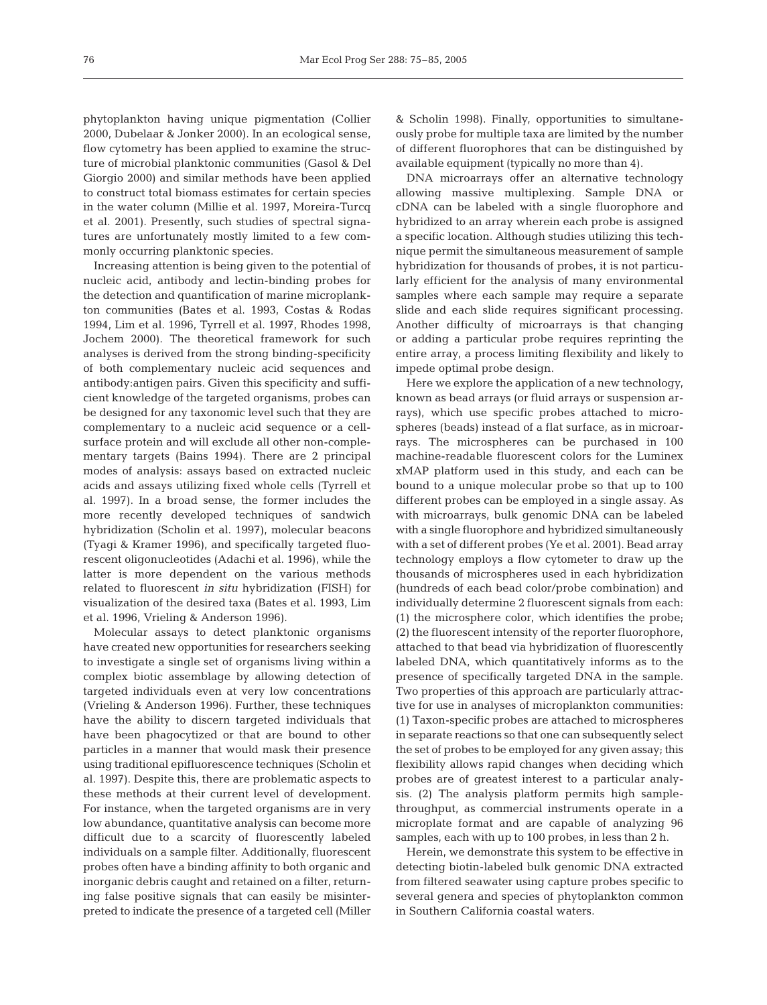phytoplankton having unique pigmentation (Collier 2000, Dubelaar & Jonker 2000). In an ecological sense, flow cytometry has been applied to examine the structure of microbial planktonic communities (Gasol & Del Giorgio 2000) and similar methods have been applied to construct total biomass estimates for certain species in the water column (Millie et al. 1997, Moreira-Turcq et al. 2001). Presently, such studies of spectral signatures are unfortunately mostly limited to a few commonly occurring planktonic species.

Increasing attention is being given to the potential of nucleic acid, antibody and lectin-binding probes for the detection and quantification of marine microplankton communities (Bates et al. 1993, Costas & Rodas 1994, Lim et al. 1996, Tyrrell et al. 1997, Rhodes 1998, Jochem 2000). The theoretical framework for such analyses is derived from the strong binding-specificity of both complementary nucleic acid sequences and antibody:antigen pairs. Given this specificity and sufficient knowledge of the targeted organisms, probes can be designed for any taxonomic level such that they are complementary to a nucleic acid sequence or a cellsurface protein and will exclude all other non-complementary targets (Bains 1994). There are 2 principal modes of analysis: assays based on extracted nucleic acids and assays utilizing fixed whole cells (Tyrrell et al. 1997). In a broad sense, the former includes the more recently developed techniques of sandwich hybridization (Scholin et al. 1997), molecular beacons (Tyagi & Kramer 1996), and specifically targeted fluorescent oligonucleotides (Adachi et al. 1996), while the latter is more dependent on the various methods related to fluorescent *in situ* hybridization (FISH) for visualization of the desired taxa (Bates et al. 1993, Lim et al. 1996, Vrieling & Anderson 1996).

Molecular assays to detect planktonic organisms have created new opportunities for researchers seeking to investigate a single set of organisms living within a complex biotic assemblage by allowing detection of targeted individuals even at very low concentrations (Vrieling & Anderson 1996). Further, these techniques have the ability to discern targeted individuals that have been phagocytized or that are bound to other particles in a manner that would mask their presence using traditional epifluorescence techniques (Scholin et al. 1997). Despite this, there are problematic aspects to these methods at their current level of development. For instance, when the targeted organisms are in very low abundance, quantitative analysis can become more difficult due to a scarcity of fluorescently labeled individuals on a sample filter. Additionally, fluorescent probes often have a binding affinity to both organic and inorganic debris caught and retained on a filter, returning false positive signals that can easily be misinterpreted to indicate the presence of a targeted cell (Miller & Scholin 1998). Finally, opportunities to simultaneously probe for multiple taxa are limited by the number of different fluorophores that can be distinguished by available equipment (typically no more than 4).

DNA microarrays offer an alternative technology allowing massive multiplexing. Sample DNA or cDNA can be labeled with a single fluorophore and hybridized to an array wherein each probe is assigned a specific location. Although studies utilizing this technique permit the simultaneous measurement of sample hybridization for thousands of probes, it is not particularly efficient for the analysis of many environmental samples where each sample may require a separate slide and each slide requires significant processing. Another difficulty of microarrays is that changing or adding a particular probe requires reprinting the entire array, a process limiting flexibility and likely to impede optimal probe design.

Here we explore the application of a new technology, known as bead arrays (or fluid arrays or suspension arrays), which use specific probes attached to microspheres (beads) instead of a flat surface, as in microarrays. The microspheres can be purchased in 100 machine-readable fluorescent colors for the Luminex xMAP platform used in this study, and each can be bound to a unique molecular probe so that up to 100 different probes can be employed in a single assay. As with microarrays, bulk genomic DNA can be labeled with a single fluorophore and hybridized simultaneously with a set of different probes (Ye et al. 2001). Bead array technology employs a flow cytometer to draw up the thousands of microspheres used in each hybridization (hundreds of each bead color/probe combination) and individually determine 2 fluorescent signals from each: (1) the microsphere color, which identifies the probe; (2) the fluorescent intensity of the reporter fluorophore, attached to that bead via hybridization of fluorescently labeled DNA, which quantitatively informs as to the presence of specifically targeted DNA in the sample. Two properties of this approach are particularly attractive for use in analyses of microplankton communities: (1) Taxon-specific probes are attached to microspheres in separate reactions so that one can subsequently select the set of probes to be employed for any given assay; this flexibility allows rapid changes when deciding which probes are of greatest interest to a particular analysis. (2) The analysis platform permits high samplethroughput, as commercial instruments operate in a microplate format and are capable of analyzing 96 samples, each with up to 100 probes, in less than 2 h.

Herein, we demonstrate this system to be effective in detecting biotin-labeled bulk genomic DNA extracted from filtered seawater using capture probes specific to several genera and species of phytoplankton common in Southern California coastal waters.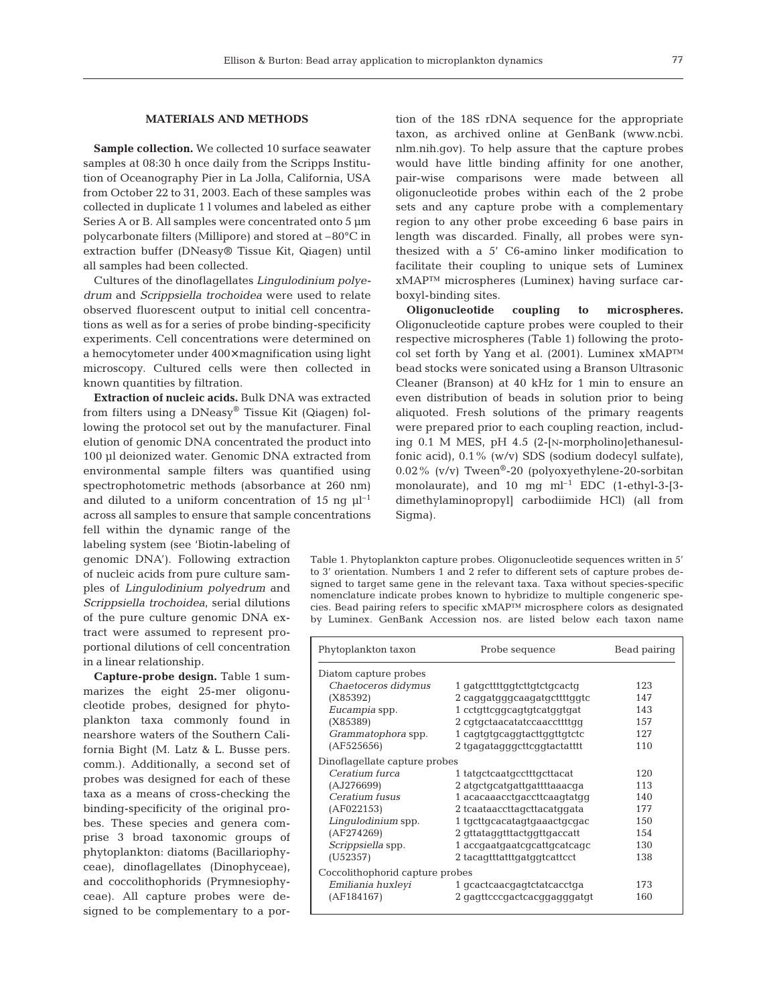**Sample collection.** We collected 10 surface seawater samples at 08:30 h once daily from the Scripps Institution of Oceanography Pier in La Jolla, California, USA from October 22 to 31, 2003. Each of these samples was collected in duplicate 1 l volumes and labeled as either Series A or B. All samples were concentrated onto 5  $\mu$ m polycarbonate filters (Millipore) and stored at –80°C in extraction buffer (DNeasy® Tissue Kit, Qiagen) until all samples had been collected.

Cultures of the dinoflagellates *Lingulodinium polyedrum* and *Scrippsiella trochoidea* were used to relate observed fluorescent output to initial cell concentrations as well as for a series of probe binding-specificity experiments. Cell concentrations were determined on a hemocytometer under 400× magnification using light microscopy. Cultured cells were then collected in known quantities by filtration.

**Extraction of nucleic acids.** Bulk DNA was extracted from filters using a DNeasy® Tissue Kit (Qiagen) following the protocol set out by the manufacturer. Final elution of genomic DNA concentrated the product into 100 µl deionized water. Genomic DNA extracted from environmental sample filters was quantified using spectrophotometric methods (absorbance at 260 nm) and diluted to a uniform concentration of 15 ng  $\mu$ l<sup>-1</sup> across all samples to ensure that sample concentrations

fell within the dynamic range of the labeling system (see 'Biotin-labeling of genomic DNA'). Following extraction of nucleic acids from pure culture samples of *Lingulodinium polyedrum* and *Scrippsiella trochoidea*, serial dilutions of the pure culture genomic DNA extract were assumed to represent proportional dilutions of cell concentration in a linear relationship.

**Capture-probe design.** Table 1 summarizes the eight 25-mer oligonucleotide probes, designed for phytoplankton taxa commonly found in nearshore waters of the Southern California Bight (M. Latz & L. Busse pers. comm.). Additionally, a second set of probes was designed for each of these taxa as a means of cross-checking the binding-specificity of the original probes. These species and genera comprise 3 broad taxonomic groups of phytoplankton: diatoms (Bacillariophyceae), dinoflagellates (Dinophyceae), and coccolithophorids (Prymnesiophyceae). All capture probes were designed to be complementary to a portion of the 18S rDNA sequence for the appropriate taxon, as archived online at GenBank (www.ncbi. nlm.nih.gov). To help assure that the capture probes would have little binding affinity for one another, pair-wise comparisons were made between all oligonucleotide probes within each of the 2 probe sets and any capture probe with a complementary region to any other probe exceeding 6 base pairs in length was discarded. Finally, all probes were synthesized with a 5' C6-amino linker modification to facilitate their coupling to unique sets of Luminex xMAP™ microspheres (Luminex) having surface carboxyl-binding sites.

**Oligonucleotide coupling to microspheres.** Oligonucleotide capture probes were coupled to their respective microspheres (Table 1) following the protocol set forth by Yang et al. (2001). Luminex xMAP™ bead stocks were sonicated using a Branson Ultrasonic Cleaner (Branson) at 40 kHz for 1 min to ensure an even distribution of beads in solution prior to being aliquoted. Fresh solutions of the primary reagents were prepared prior to each coupling reaction, including 0.1 M MES, pH 4.5 (2-[N-morpholino]ethanesulfonic acid), 0.1% (w/v) SDS (sodium dodecyl sulfate), 0.02% (v/v) Tween®-20 (polyoxyethylene-20-sorbitan monolaurate), and 10 mg  $ml^{-1}$  EDC (1-ethyl-3-[3dimethylaminopropyl] carbodiimide HCl) (all from Sigma).

Table 1. Phytoplankton capture probes. Oligonucleotide sequences written in 5' to 3' orientation. Numbers 1 and 2 refer to different sets of capture probes designed to target same gene in the relevant taxa. Taxa without species-specific nomenclature indicate probes known to hybridize to multiple congeneric species. Bead pairing refers to specific xMAP™ microsphere colors as designated by Luminex. GenBank Accession nos. are listed below each taxon name

| Phytoplankton taxon             | Probe sequence              | Bead pairing |  |
|---------------------------------|-----------------------------|--------------|--|
| Diatom capture probes           |                             |              |  |
| Chaetoceros didymus             | 1 gatgcttttggtcttgtctgcactg | 123          |  |
| (X85392)                        | 2 caggatgggcaagatgcttttggtc | 147          |  |
| Eucampia spp.                   | 1 cctgttcggcagtgtcatggtgat  | 143          |  |
| (X85389)                        | 2 cqtqctaacatatccaaccttttqq | 157          |  |
| Grammatophora spp.              | 1 cagtgtgcaggtacttggttgtctc | 127          |  |
| (AF525656)                      | 2 tgagatagggcttcggtactatttt | 110          |  |
| Dinoflagellate capture probes   |                             |              |  |
| Ceratium furca                  | 1 tatgctcaatgcctttgcttacat  | 120          |  |
| (AJ276699)                      | 2 atgctgcatgattgattttaaacga | 113          |  |
| Ceratium fusus                  | 1 acacaaacctgaccttcaagtatgg | 140          |  |
| (AF022153)                      | 2 tcaataaccttagcttacatggata | 177          |  |
| Lingulodinium spp.              | 1 tgcttgcacatagtgaaactgcgac | 150          |  |
| (AF274269)                      | 2 gttataggtttactggttgaccatt | 154          |  |
| Scrippsiella spp.               | 1 accgaatgaatcgcattgcatcagc | 130          |  |
| (U52357)                        | 2 tacaqtttatttgatggtcattcct | 138          |  |
| Coccolithophorid capture probes |                             |              |  |
| Emiliania huxleyi               | 1 gcactcaacgagtctatcacctga  | 173          |  |
| (AF184167)                      | 2 gagttcccgactcacggagggatgt | 160          |  |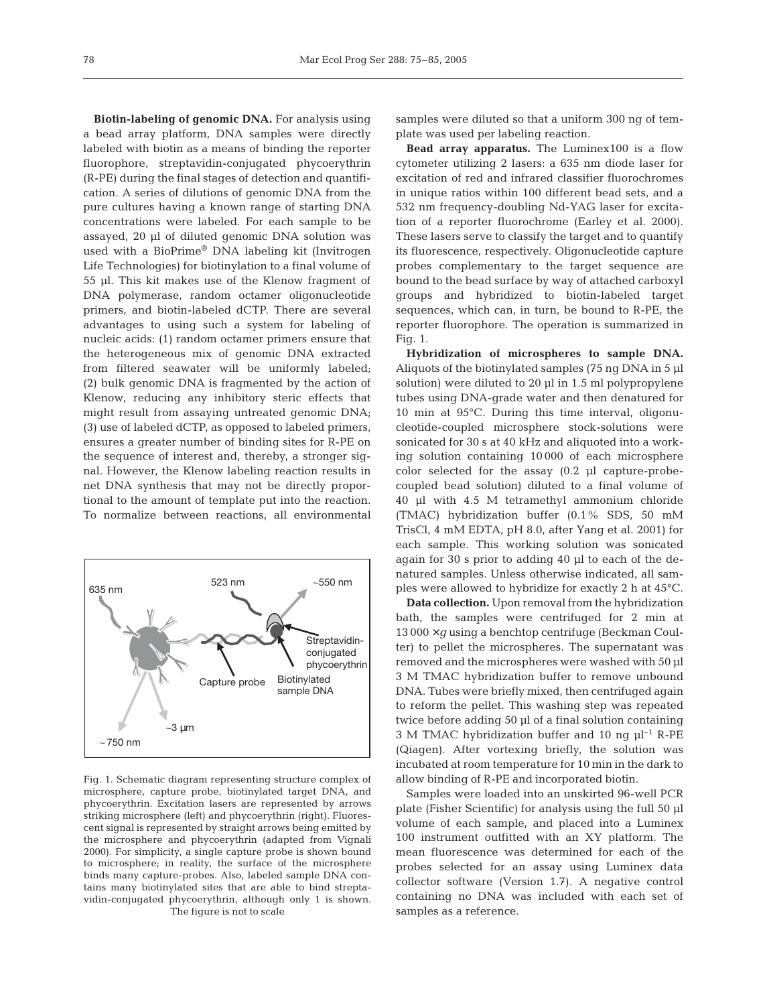**Biotin-labeling of genomic DNA.** For analysis using a bead array platform, DNA samples were directly labeled with biotin as a means of binding the reporter fluorophore, streptavidin-conjugated phycoerythrin (R-PE) during the final stages of detection and quantification. A series of dilutions of genomic DNA from the pure cultures having a known range of starting DNA concentrations were labeled. For each sample to be assayed, 20 µl of diluted genomic DNA solution was used with a BioPrime® DNA labeling kit (Invitrogen Life Technologies) for biotinylation to a final volume of 55 µl. This kit makes use of the Klenow fragment of DNA polymerase, random octamer oligonucleotide primers, and biotin-labeled dCTP. There are several advantages to using such a system for labeling of nucleic acids: (1) random octamer primers ensure that the heterogeneous mix of genomic DNA extracted from filtered seawater will be uniformly labeled; (2) bulk genomic DNA is fragmented by the action of Klenow, reducing any inhibitory steric effects that might result from assaying untreated genomic DNA; (3) use of labeled dCTP, as opposed to labeled primers, ensures a greater number of binding sites for R-PE on the sequence of interest and, thereby, a stronger signal. However, the Klenow labeling reaction results in net DNA synthesis that may not be directly proportional to the amount of template put into the reaction. To normalize between reactions, all environmental



Fig. 1. Schematic diagram representing structure complex of microsphere, capture probe, biotinylated target DNA, and phycoerythrin. Excitation lasers are represented by arrows striking microsphere (left) and phycoerythrin (right). Fluorescent signal is represented by straight arrows being emitted by the microsphere and phycoerythrin (adapted from Vignali 2000). For simplicity, a single capture probe is shown bound to microsphere; in reality, the surface of the microsphere binds many capture-probes. Also, labeled sample DNA contains many biotinylated sites that are able to bind streptavidin-conjugated phycoerythrin, although only 1 is shown. The figure is not to scale

samples were diluted so that a uniform 300 ng of template was used per labeling reaction.

**Bead array apparatus.** The Luminex100 is a flow cytometer utilizing 2 lasers: a 635 nm diode laser for excitation of red and infrared classifier fluorochromes in unique ratios within 100 different bead sets, and a 532 nm frequency-doubling Nd-YAG laser for excitation of a reporter fluorochrome (Earley et al. 2000). These lasers serve to classify the target and to quantify its fluorescence, respectively. Oligonucleotide capture probes complementary to the target sequence are bound to the bead surface by way of attached carboxyl groups and hybridized to biotin-labeled target sequences, which can, in turn, be bound to R-PE, the reporter fluorophore. The operation is summarized in Fig. 1.

**Hybridization of microspheres to sample DNA.** Aliquots of the biotinylated samples (75 ng DNA in 5 µl solution) were diluted to 20 µl in 1.5 ml polypropylene tubes using DNA-grade water and then denatured for 10 min at 95°C. During this time interval, oligonucleotide-coupled microsphere stock-solutions were sonicated for 30 s at 40 kHz and aliquoted into a working solution containing 10 000 of each microsphere color selected for the assay (0.2 µl capture-probecoupled bead solution) diluted to a final volume of 40 µl with 4.5 M tetramethyl ammonium chloride (TMAC) hybridization buffer (0.1% SDS, 50 mM TrisCl, 4 mM EDTA, pH 8.0, after Yang et al. 2001) for each sample. This working solution was sonicated again for 30 s prior to adding 40 µl to each of the denatured samples. Unless otherwise indicated, all samples were allowed to hybridize for exactly 2 h at 45°C.

**Data collection.** Upon removal from the hybridization bath, the samples were centrifuged for 2 min at 13 000 ×*g* using a benchtop centrifuge (Beckman Coulter) to pellet the microspheres. The supernatant was removed and the microspheres were washed with 50 µl 3 M TMAC hybridization buffer to remove unbound DNA. Tubes were briefly mixed, then centrifuged again to reform the pellet. This washing step was repeated twice before adding 50 µl of a final solution containing 3 M TMAC hybridization buffer and 10 ng  $\mu$ <sup>-1</sup> R-PE (Qiagen). After vortexing briefly, the solution was incubated at room temperature for 10 min in the dark to allow binding of R-PE and incorporated biotin.

Samples were loaded into an unskirted 96-well PCR plate (Fisher Scientific) for analysis using the full 50 µl volume of each sample, and placed into a Luminex 100 instrument outfitted with an XY platform. The mean fluorescence was determined for each of the probes selected for an assay using Luminex data collector software (Version 1.7). A negative control containing no DNA was included with each set of samples as a reference.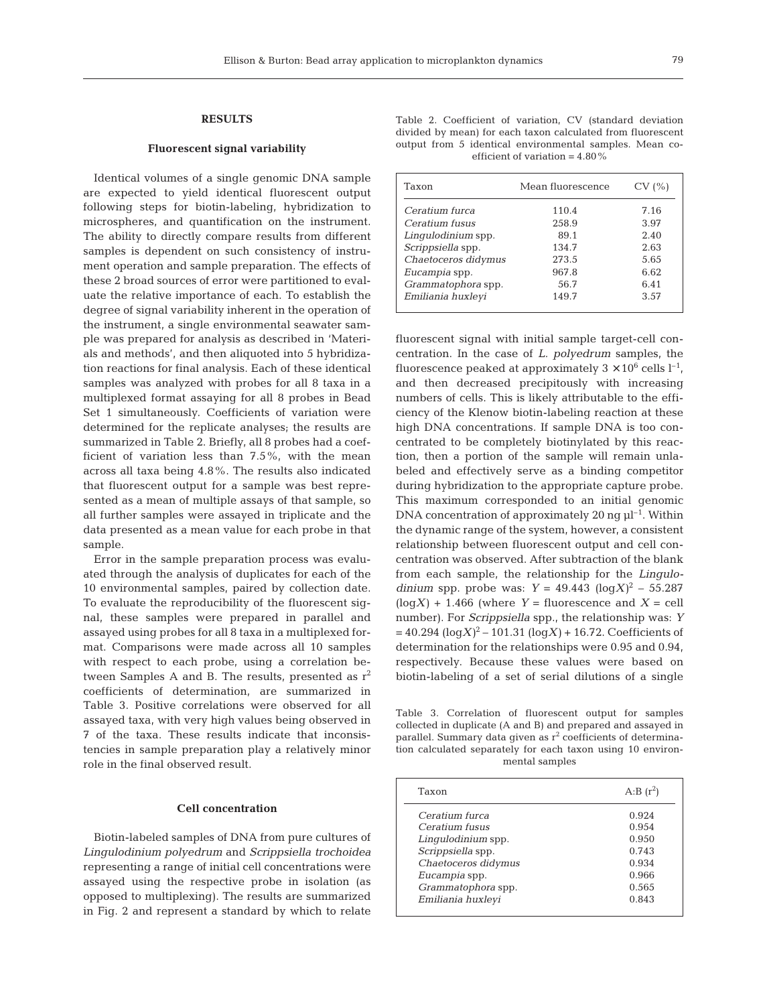#### **RESULTS**

#### **Fluorescent signal variability**

Identical volumes of a single genomic DNA sample are expected to yield identical fluorescent output following steps for biotin-labeling, hybridization to microspheres, and quantification on the instrument. The ability to directly compare results from different samples is dependent on such consistency of instrument operation and sample preparation. The effects of these 2 broad sources of error were partitioned to evaluate the relative importance of each. To establish the degree of signal variability inherent in the operation of the instrument, a single environmental seawater sample was prepared for analysis as described in 'Materials and methods', and then aliquoted into 5 hybridization reactions for final analysis. Each of these identical samples was analyzed with probes for all 8 taxa in a multiplexed format assaying for all 8 probes in Bead Set 1 simultaneously. Coefficients of variation were determined for the replicate analyses; the results are summarized in Table 2. Briefly, all 8 probes had a coefficient of variation less than 7.5%, with the mean across all taxa being 4.8%. The results also indicated that fluorescent output for a sample was best represented as a mean of multiple assays of that sample, so all further samples were assayed in triplicate and the data presented as a mean value for each probe in that sample.

Error in the sample preparation process was evaluated through the analysis of duplicates for each of the 10 environmental samples, paired by collection date. To evaluate the reproducibility of the fluorescent signal, these samples were prepared in parallel and assayed using probes for all 8 taxa in a multiplexed format. Comparisons were made across all 10 samples with respect to each probe, using a correlation between Samples A and B. The results, presented as  $r^2$ coefficients of determination, are summarized in Table 3. Positive correlations were observed for all assayed taxa, with very high values being observed in 7 of the taxa. These results indicate that inconsistencies in sample preparation play a relatively minor role in the final observed result.

## **Cell concentration**

Biotin-labeled samples of DNA from pure cultures of *Lingulodinium polyedrum* and *Scrippsiella trochoidea* representing a range of initial cell concentrations were assayed using the respective probe in isolation (as opposed to multiplexing). The results are summarized in Fig. 2 and represent a standard by which to relate

| Table 2. Coefficient of variation, CV (standard deviation   |                                   |  |  |
|-------------------------------------------------------------|-----------------------------------|--|--|
| divided by mean) for each taxon calculated from fluorescent |                                   |  |  |
| output from 5 identical environmental samples. Mean co-     |                                   |  |  |
|                                                             | efficient of variation = $4.80\%$ |  |  |

| Taxon               | Mean fluorescence | CV(%) |
|---------------------|-------------------|-------|
| Ceratium furca      | 110.4             | 7.16  |
| Ceratium fusus      | 258.9             | 3.97  |
| Lingulodinium spp.  | 89.1              | 2.40  |
| Scrippsiella spp.   | 134.7             | 2.63  |
| Chaetoceros didymus | 273.5             | 5.65  |
| Eucampia spp.       | 967.8             | 6.62  |
| Grammatophora spp.  | 56.7              | 6.41  |
| Emiliania huxleyi   | 149.7             | 3.57  |

fluorescent signal with initial sample target-cell concentration. In the case of *L. polyedrum* samples, the fluorescence peaked at approximately  $3 \times 10^6$  cells  $l^{-1}$ , and then decreased precipitously with increasing numbers of cells. This is likely attributable to the efficiency of the Klenow biotin-labeling reaction at these high DNA concentrations. If sample DNA is too concentrated to be completely biotinylated by this reaction, then a portion of the sample will remain unlabeled and effectively serve as a binding competitor during hybridization to the appropriate capture probe. This maximum corresponded to an initial genomic DNA concentration of approximately 20 ng  $\mu$ <sup>-1</sup>. Within the dynamic range of the system, however, a consistent relationship between fluorescent output and cell concentration was observed. After subtraction of the blank from each sample, the relationship for the *Lingulodinium* spp. probe was:  $Y = 49.443$   $(\log X)^2 - 55.287$  $(log X) + 1.466$  (where  $Y =$  fluorescence and  $X =$  cell number). For *Scrippsiella* spp., the relationship was: *Y*  $= 40.294$  (log*X*)<sup>2</sup> – 101.31 (log*X*) + 16.72. Coefficients of determination for the relationships were 0.95 and 0.94, respectively. Because these values were based on biotin-labeling of a set of serial dilutions of a single

Table 3. Correlation of fluorescent output for samples collected in duplicate (A and B) and prepared and assayed in parallel. Summary data given as  $r^2$  coefficients of determination calculated separately for each taxon using 10 environmental samples

| Taxon               | A:B $(r^2)$ |
|---------------------|-------------|
| Ceratium furca      | 0.924       |
| Ceratium fusus      | 0.954       |
| Lingulodinium spp.  | 0.950       |
| Scrippsiella spp.   | 0.743       |
| Chaetoceros didymus | 0.934       |
| Eucampia spp.       | 0.966       |
| Grammatophora spp.  | 0.565       |
| Emiliania huxleyi   | 0.843       |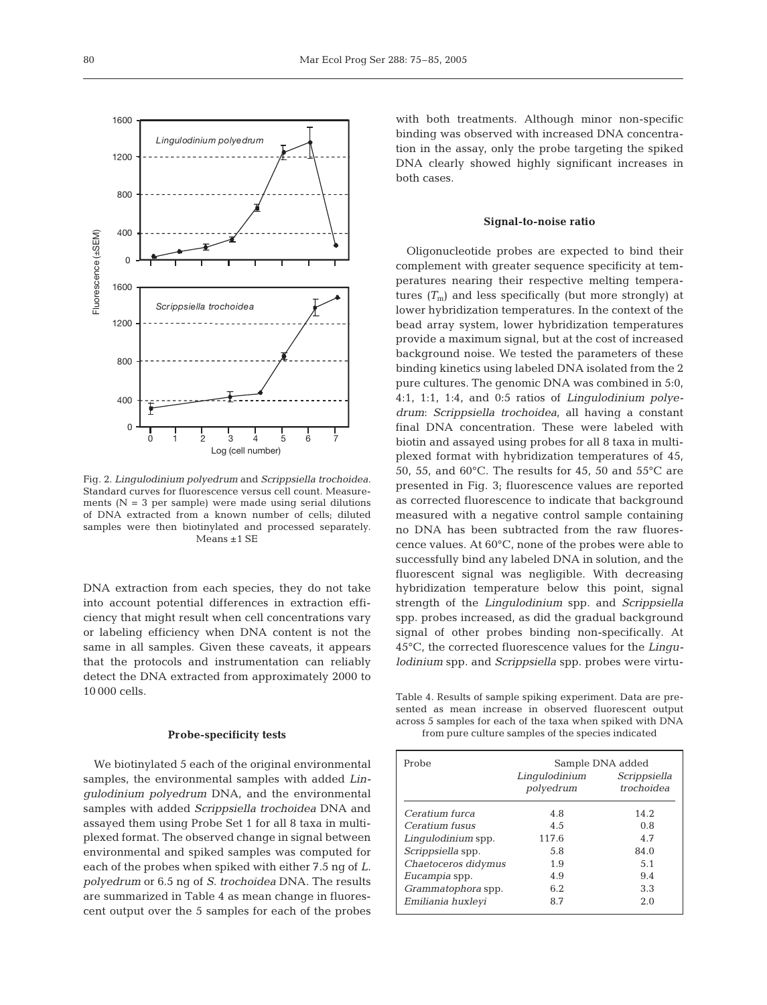

Fig. 2. *Lingulodinium polyedrum* and *Scrippsiella trochoidea.* Standard curves for fluorescence versus cell count. Measurements ( $N = 3$  per sample) were made using serial dilutions of DNA extracted from a known number of cells; diluted samples were then biotinylated and processed separately. Means ±1 SE

DNA extraction from each species, they do not take into account potential differences in extraction efficiency that might result when cell concentrations vary or labeling efficiency when DNA content is not the same in all samples. Given these caveats, it appears that the protocols and instrumentation can reliably detect the DNA extracted from approximately 2000 to 10 000 cells.

### **Probe-specificity tests**

We biotinylated 5 each of the original environmental samples, the environmental samples with added *Lingulodinium polyedrum* DNA, and the environmental samples with added *Scrippsiella trochoidea* DNA and assayed them using Probe Set 1 for all 8 taxa in multiplexed format. The observed change in signal between environmental and spiked samples was computed for each of the probes when spiked with either 7.5 ng of *L. polyedrum* or 6.5 ng of *S. trochoidea* DNA. The results are summarized in Table 4 as mean change in fluorescent output over the 5 samples for each of the probes

with both treatments. Although minor non-specific binding was observed with increased DNA concentration in the assay, only the probe targeting the spiked DNA clearly showed highly significant increases in both cases.

## **Signal-to-noise ratio**

Oligonucleotide probes are expected to bind their complement with greater sequence specificity at temperatures nearing their respective melting temperatures  $(T<sub>m</sub>)$  and less specifically (but more strongly) at lower hybridization temperatures. In the context of the bead array system, lower hybridization temperatures provide a maximum signal, but at the cost of increased background noise. We tested the parameters of these binding kinetics using labeled DNA isolated from the 2 pure cultures. The genomic DNA was combined in 5:0, 4:1, 1:1, 1:4, and 0:5 ratios of *Lingulodinium polyedrum*: *Scrippsiella trochoidea*, all having a constant final DNA concentration. These were labeled with biotin and assayed using probes for all 8 taxa in multiplexed format with hybridization temperatures of 45, 50, 55, and 60°C. The results for 45, 50 and 55°C are presented in Fig. 3; fluorescence values are reported as corrected fluorescence to indicate that background measured with a negative control sample containing no DNA has been subtracted from the raw fluorescence values. At 60°C, none of the probes were able to successfully bind any labeled DNA in solution, and the fluorescent signal was negligible. With decreasing hybridization temperature below this point, signal strength of the *Lingulodinium* spp. and *Scrippsiella* spp. probes increased, as did the gradual background signal of other probes binding non-specifically. At 45°C, the corrected fluorescence values for the *Lingulodinium* spp. and *Scrippsiella* spp. probes were virtu-

Table 4. Results of sample spiking experiment. Data are presented as mean increase in observed fluorescent output across 5 samples for each of the taxa when spiked with DNA from pure culture samples of the species indicated

| Probe               | Sample DNA added |                            |  |
|---------------------|------------------|----------------------------|--|
|                     | Lingulodinium    | Scrippsiella<br>trochoidea |  |
|                     | polyedrum        |                            |  |
| Ceratium furca      | 4.8              | 14.2.                      |  |
| Ceratium fusus      | 4.5              | 0.8                        |  |
| Lingulodinium spp.  | 117.6            | 4.7                        |  |
| Scrippsiella spp.   | 5.8              | 84.0                       |  |
| Chaetoceros didymus | 1.9              | 5.1                        |  |
| Eucampia spp.       | 4.9              | 9.4                        |  |
| Grammatophora spp.  | 6.2              | 3.3                        |  |
| Emiliania huxleyi   | 8.7              | 2.0                        |  |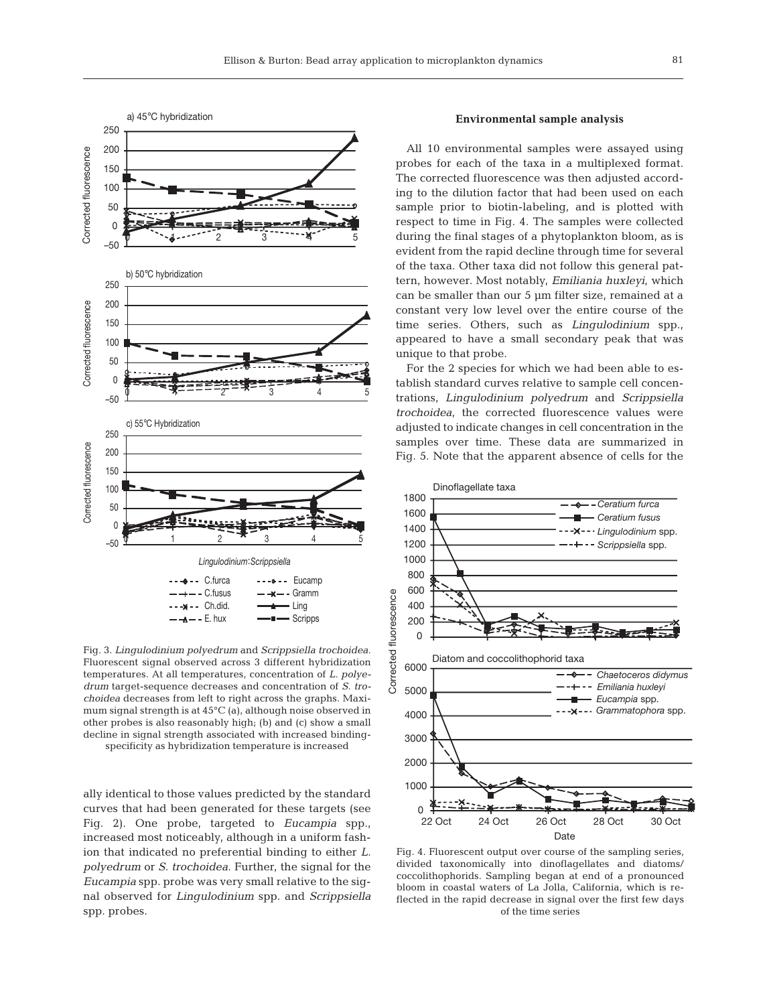

Fig. 3. *Lingulodinium polyedrum* and *Scrippsiella trochoidea.* Fluorescent signal observed across 3 different hybridization temperatures. At all temperatures, concentration of *L. polyedrum* target-sequence decreases and concentration of *S. trochoidea* decreases from left to right across the graphs. Maximum signal strength is at 45°C (a), although noise observed in other probes is also reasonably high; (b) and (c) show a small decline in signal strength associated with increased bindingspecificity as hybridization temperature is increased

ally identical to those values predicted by the standard curves that had been generated for these targets (see Fig. 2). One probe, targeted to *Eucampia* spp., increased most noticeably, although in a uniform fashion that indicated no preferential binding to either *L. polyedrum* or *S. trochoidea*. Further, the signal for the *Eucampia* spp. probe was very small relative to the signal observed for *Lingulodinium* spp. and *Scrippsiella* spp. probes.

## **Environmental sample analysis**

All 10 environmental samples were assayed using probes for each of the taxa in a multiplexed format. The corrected fluorescence was then adjusted according to the dilution factor that had been used on each sample prior to biotin-labeling, and is plotted with respect to time in Fig. 4. The samples were collected during the final stages of a phytoplankton bloom, as is evident from the rapid decline through time for several of the taxa. Other taxa did not follow this general pattern, however. Most notably, *Emiliania huxleyi*, which can be smaller than our 5 µm filter size, remained at a constant very low level over the entire course of the time series. Others, such as *Lingulodinium* spp., appeared to have a small secondary peak that was unique to that probe.

For the 2 species for which we had been able to establish standard curves relative to sample cell concentrations, *Lingulodinium polyedrum* and *Scrippsiella trochoidea*, the corrected fluorescence values were adjusted to indicate changes in cell concentration in the samples over time. These data are summarized in Fig. 5. Note that the apparent absence of cells for the



Fig. 4. Fluorescent output over course of the sampling series, divided taxonomically into dinoflagellates and diatoms/ coccolithophorids. Sampling began at end of a pronounced bloom in coastal waters of La Jolla, California, which is reflected in the rapid decrease in signal over the first few days of the time series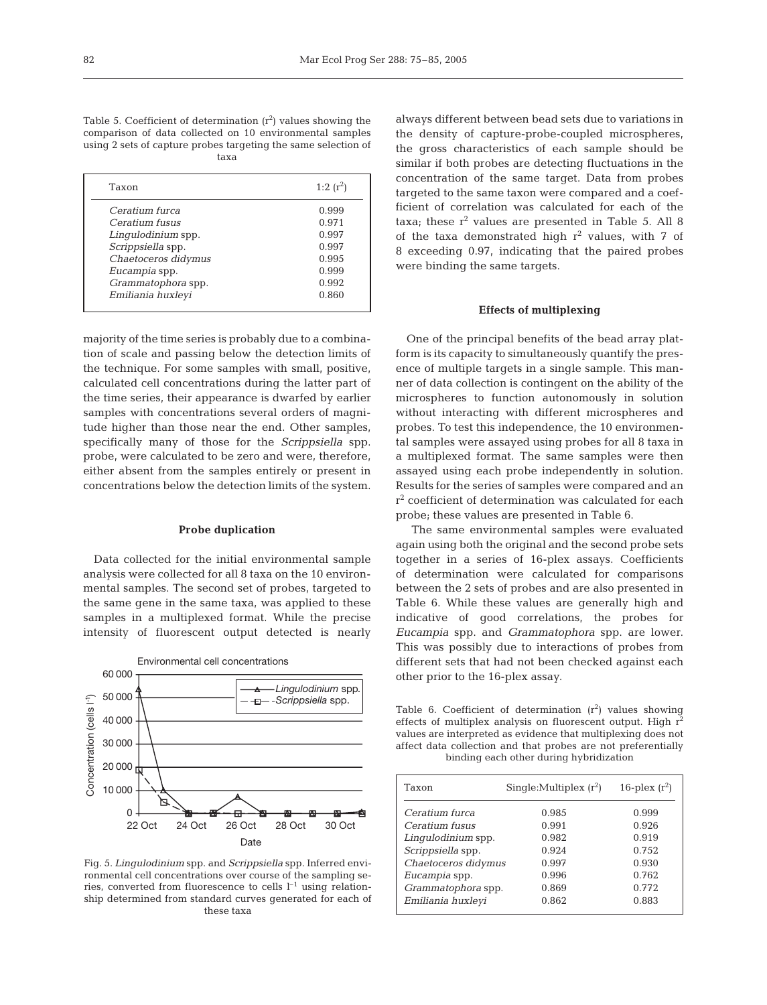$1.2(r^2)$ 

Table 5. Coefficient of determination  $(r^2)$  values showing the comparison of data collected on 10 environmental samples using 2 sets of capture probes targeting the same selection of

taxa

|       | waxa |             |
|-------|------|-------------|
| Taxon |      | 1:2 $(r^2)$ |

|                     | -- 1- 1 |
|---------------------|---------|
| Ceratium furca      | 0.999   |
| Ceratium fusus      | 0.971   |
| Lingulodinium spp.  | 0.997   |
| Scrippsiella spp.   | 0.997   |
| Chaetoceros didymus | 0.995   |
| Eucampia spp.       | 0.999   |
| Grammatophora spp.  | 0.992   |
| Emiliania huxleyi   | 0.860   |

majority of the time series is probably due to a combination of scale and passing below the detection limits of the technique. For some samples with small, positive, calculated cell concentrations during the latter part of the time series, their appearance is dwarfed by earlier samples with concentrations several orders of magnitude higher than those near the end. Other samples, specifically many of those for the *Scrippsiella* spp. probe, were calculated to be zero and were, therefore, either absent from the samples entirely or present in concentrations below the detection limits of the system.

#### **Probe duplication**

Data collected for the initial environmental sample analysis were collected for all 8 taxa on the 10 environmental samples. The second set of probes, targeted to the same gene in the same taxa, was applied to these samples in a multiplexed format. While the precise intensity of fluorescent output detected is nearly



Fig. 5. *Lingulodinium* spp. and *Scrippsiella* spp. Inferred environmental cell concentrations over course of the sampling series, converted from fluorescence to cells  $l^{-1}$  using relationship determined from standard curves generated for each of these taxa

always different between bead sets due to variations in the density of capture-probe-coupled microspheres, the gross characteristics of each sample should be similar if both probes are detecting fluctuations in the concentration of the same target. Data from probes targeted to the same taxon were compared and a coefficient of correlation was calculated for each of the taxa; these  $r^2$  values are presented in Table 5. All 8 of the taxa demonstrated high  $r^2$  values, with  $7$  of 8 exceeding 0.97, indicating that the paired probes were binding the same targets.

## **Effects of multiplexing**

One of the principal benefits of the bead array platform is its capacity to simultaneously quantify the presence of multiple targets in a single sample. This manner of data collection is contingent on the ability of the microspheres to function autonomously in solution without interacting with different microspheres and probes. To test this independence, the 10 environmental samples were assayed using probes for all 8 taxa in a multiplexed format. The same samples were then assayed using each probe independently in solution. Results for the series of samples were compared and an  $r^2$  coefficient of determination was calculated for each probe; these values are presented in Table 6.

The same environmental samples were evaluated again using both the original and the second probe sets together in a series of 16-plex assays. Coefficients of determination were calculated for comparisons between the 2 sets of probes and are also presented in Table 6. While these values are generally high and indicative of good correlations, the probes for *Eucampia* spp. and *Grammatophora* spp. are lower. This was possibly due to interactions of probes from different sets that had not been checked against each other prior to the 16-plex assay.

Table 6. Coefficient of determination  $(r^2)$  values showing effects of multiplex analysis on fluorescent output. High  $r^2$ values are interpreted as evidence that multiplexing does not affect data collection and that probes are not preferentially binding each other during hybridization

| Taxon               | Single: Multiplex $(r^2)$ | 16-plex $(r^2)$ |
|---------------------|---------------------------|-----------------|
| Ceratium furca      | 0.985                     | 0.999           |
| Ceratium fusus      | 0.991                     | 0.926           |
| Lingulodinium spp.  | 0.982                     | 0.919           |
| Scrippsiella spp.   | 0.924                     | 0.752           |
| Chaetoceros didymus | 0.997                     | 0.930           |
| Eucampia spp.       | 0.996                     | 0.762           |
| Grammatophora spp.  | 0.869                     | 0.772           |
| Emiliania huxleyi   | 0.862                     | 0.883           |
|                     |                           |                 |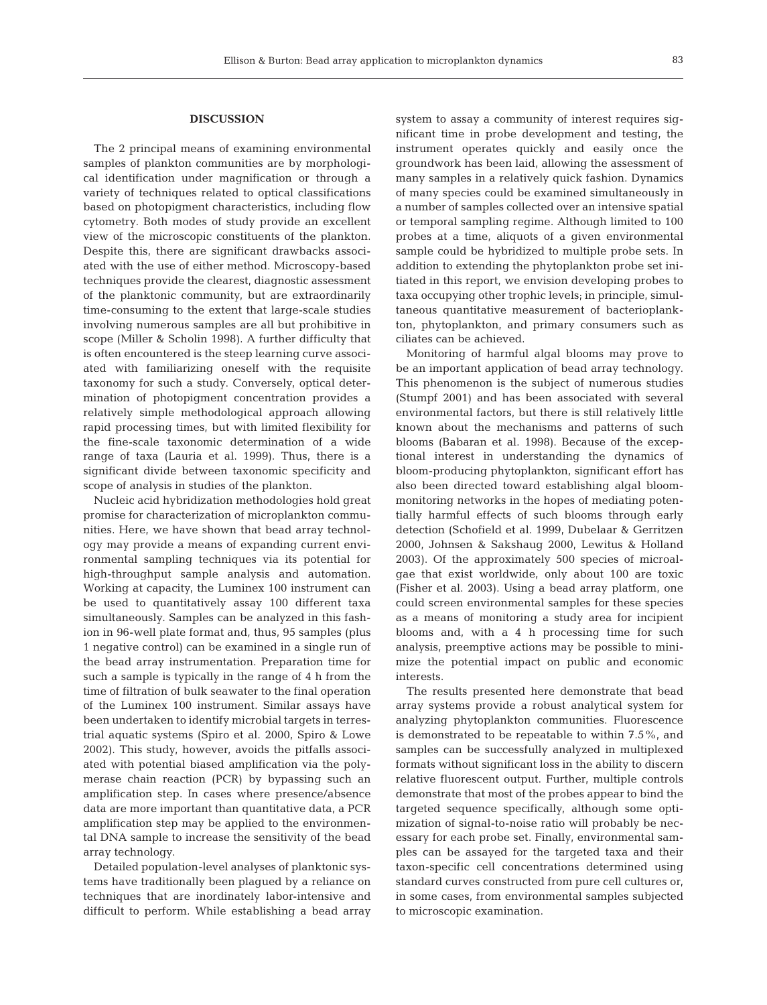#### **DISCUSSION**

The 2 principal means of examining environmental samples of plankton communities are by morphological identification under magnification or through a variety of techniques related to optical classifications based on photopigment characteristics, including flow cytometry. Both modes of study provide an excellent view of the microscopic constituents of the plankton. Despite this, there are significant drawbacks associated with the use of either method. Microscopy-based techniques provide the clearest, diagnostic assessment of the planktonic community, but are extraordinarily time-consuming to the extent that large-scale studies involving numerous samples are all but prohibitive in scope (Miller & Scholin 1998). A further difficulty that is often encountered is the steep learning curve associated with familiarizing oneself with the requisite taxonomy for such a study. Conversely, optical determination of photopigment concentration provides a relatively simple methodological approach allowing rapid processing times, but with limited flexibility for the fine-scale taxonomic determination of a wide range of taxa (Lauria et al. 1999). Thus, there is a significant divide between taxonomic specificity and scope of analysis in studies of the plankton.

Nucleic acid hybridization methodologies hold great promise for characterization of microplankton communities. Here, we have shown that bead array technology may provide a means of expanding current environmental sampling techniques via its potential for high-throughput sample analysis and automation. Working at capacity, the Luminex 100 instrument can be used to quantitatively assay 100 different taxa simultaneously. Samples can be analyzed in this fashion in 96-well plate format and, thus, 95 samples (plus 1 negative control) can be examined in a single run of the bead array instrumentation. Preparation time for such a sample is typically in the range of 4 h from the time of filtration of bulk seawater to the final operation of the Luminex 100 instrument. Similar assays have been undertaken to identify microbial targets in terrestrial aquatic systems (Spiro et al. 2000, Spiro & Lowe 2002). This study, however, avoids the pitfalls associated with potential biased amplification via the polymerase chain reaction (PCR) by bypassing such an amplification step. In cases where presence/absence data are more important than quantitative data, a PCR amplification step may be applied to the environmental DNA sample to increase the sensitivity of the bead array technology.

Detailed population-level analyses of planktonic systems have traditionally been plagued by a reliance on techniques that are inordinately labor-intensive and difficult to perform. While establishing a bead array

system to assay a community of interest requires significant time in probe development and testing, the instrument operates quickly and easily once the groundwork has been laid, allowing the assessment of many samples in a relatively quick fashion. Dynamics of many species could be examined simultaneously in a number of samples collected over an intensive spatial or temporal sampling regime. Although limited to 100 probes at a time, aliquots of a given environmental sample could be hybridized to multiple probe sets. In addition to extending the phytoplankton probe set initiated in this report, we envision developing probes to taxa occupying other trophic levels; in principle, simultaneous quantitative measurement of bacterioplankton, phytoplankton, and primary consumers such as ciliates can be achieved.

Monitoring of harmful algal blooms may prove to be an important application of bead array technology. This phenomenon is the subject of numerous studies (Stumpf 2001) and has been associated with several environmental factors, but there is still relatively little known about the mechanisms and patterns of such blooms (Babaran et al. 1998). Because of the exceptional interest in understanding the dynamics of bloom-producing phytoplankton, significant effort has also been directed toward establishing algal bloommonitoring networks in the hopes of mediating potentially harmful effects of such blooms through early detection (Schofield et al. 1999, Dubelaar & Gerritzen 2000, Johnsen & Sakshaug 2000, Lewitus & Holland 2003). Of the approximately 500 species of microalgae that exist worldwide, only about 100 are toxic (Fisher et al. 2003). Using a bead array platform, one could screen environmental samples for these species as a means of monitoring a study area for incipient blooms and, with a 4 h processing time for such analysis, preemptive actions may be possible to minimize the potential impact on public and economic interests.

The results presented here demonstrate that bead array systems provide a robust analytical system for analyzing phytoplankton communities. Fluorescence is demonstrated to be repeatable to within 7.5%, and samples can be successfully analyzed in multiplexed formats without significant loss in the ability to discern relative fluorescent output. Further, multiple controls demonstrate that most of the probes appear to bind the targeted sequence specifically, although some optimization of signal-to-noise ratio will probably be necessary for each probe set. Finally, environmental samples can be assayed for the targeted taxa and their taxon-specific cell concentrations determined using standard curves constructed from pure cell cultures or, in some cases, from environmental samples subjected to microscopic examination.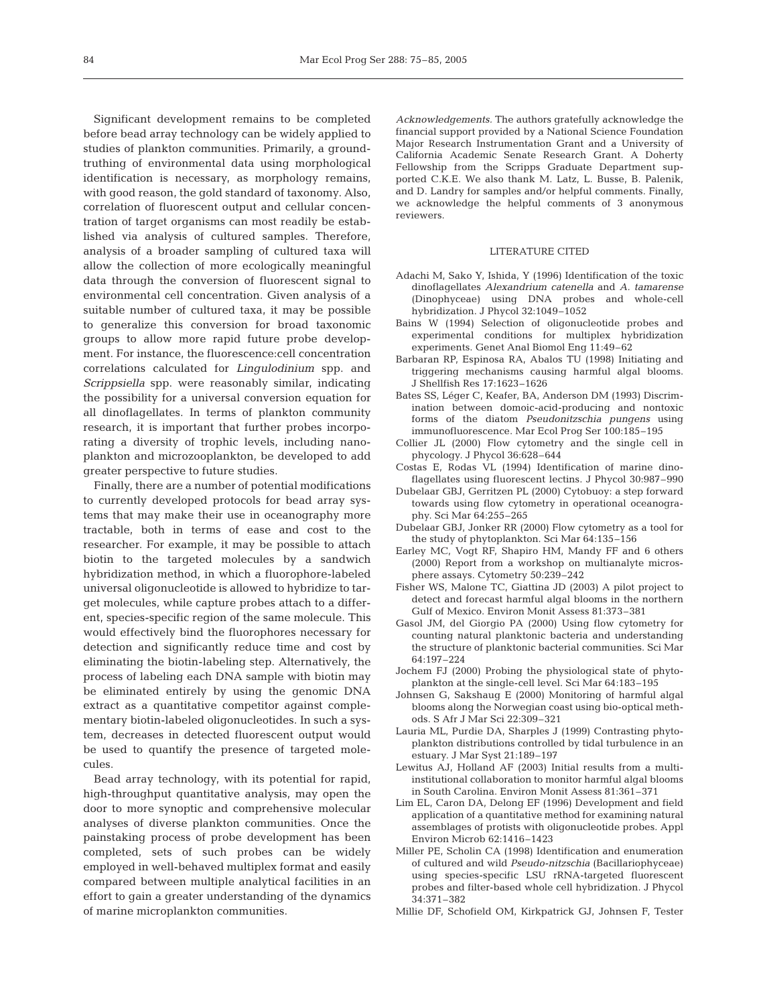Significant development remains to be completed before bead array technology can be widely applied to studies of plankton communities. Primarily, a groundtruthing of environmental data using morphological identification is necessary, as morphology remains, with good reason, the gold standard of taxonomy. Also, correlation of fluorescent output and cellular concentration of target organisms can most readily be established via analysis of cultured samples. Therefore, analysis of a broader sampling of cultured taxa will allow the collection of more ecologically meaningful data through the conversion of fluorescent signal to environmental cell concentration. Given analysis of a suitable number of cultured taxa, it may be possible to generalize this conversion for broad taxonomic groups to allow more rapid future probe development. For instance, the fluorescence:cell concentration correlations calculated for *Lingulodinium* spp. and *Scrippsiella* spp. were reasonably similar, indicating the possibility for a universal conversion equation for all dinoflagellates. In terms of plankton community research, it is important that further probes incorporating a diversity of trophic levels, including nanoplankton and microzooplankton, be developed to add greater perspective to future studies.

Finally, there are a number of potential modifications to currently developed protocols for bead array systems that may make their use in oceanography more tractable, both in terms of ease and cost to the researcher. For example, it may be possible to attach biotin to the targeted molecules by a sandwich hybridization method, in which a fluorophore-labeled universal oligonucleotide is allowed to hybridize to target molecules, while capture probes attach to a different, species-specific region of the same molecule. This would effectively bind the fluorophores necessary for detection and significantly reduce time and cost by eliminating the biotin-labeling step. Alternatively, the process of labeling each DNA sample with biotin may be eliminated entirely by using the genomic DNA extract as a quantitative competitor against complementary biotin-labeled oligonucleotides. In such a system, decreases in detected fluorescent output would be used to quantify the presence of targeted molecules.

Bead array technology, with its potential for rapid, high-throughput quantitative analysis, may open the door to more synoptic and comprehensive molecular analyses of diverse plankton communities. Once the painstaking process of probe development has been completed, sets of such probes can be widely employed in well-behaved multiplex format and easily compared between multiple analytical facilities in an effort to gain a greater understanding of the dynamics of marine microplankton communities.

*Acknowledgements.* The authors gratefully acknowledge the financial support provided by a National Science Foundation Major Research Instrumentation Grant and a University of California Academic Senate Research Grant. A Doherty Fellowship from the Scripps Graduate Department supported C.K.E. We also thank M. Latz, L. Busse, B. Palenik, and D. Landry for samples and/or helpful comments. Finally, we acknowledge the helpful comments of 3 anonymous reviewers.

## LITERATURE CITED

- Adachi M, Sako Y, Ishida, Y (1996) Identification of the toxic dinoflagellates *Alexandrium catenella* and *A. tamarense* (Dinophyceae) using DNA probes and whole-cell hybridization. J Phycol 32:1049–1052
- Bains W (1994) Selection of oligonucleotide probes and experimental conditions for multiplex hybridization experiments. Genet Anal Biomol Eng 11:49–62
- Barbaran RP, Espinosa RA, Abalos TU (1998) Initiating and triggering mechanisms causing harmful algal blooms. J Shellfish Res 17:1623–1626
- Bates SS, Léger C, Keafer, BA, Anderson DM (1993) Discrimination between domoic-acid-producing and nontoxic forms of the diatom *Pseudonitzschia pungens* using immunofluorescence. Mar Ecol Prog Ser 100:185–195
- Collier JL (2000) Flow cytometry and the single cell in phycology. J Phycol 36:628–644
- Costas E, Rodas VL (1994) Identification of marine dinoflagellates using fluorescent lectins. J Phycol 30:987–990
- Dubelaar GBJ, Gerritzen PL (2000) Cytobuoy: a step forward towards using flow cytometry in operational oceanography. Sci Mar 64:255–265
- Dubelaar GBJ, Jonker RR (2000) Flow cytometry as a tool for the study of phytoplankton. Sci Mar 64:135–156
- Earley MC, Vogt RF, Shapiro HM, Mandy FF and 6 others (2000) Report from a workshop on multianalyte microsphere assays. Cytometry 50:239–242
- Fisher WS, Malone TC, Giattina JD (2003) A pilot project to detect and forecast harmful algal blooms in the northern Gulf of Mexico. Environ Monit Assess 81:373–381
- Gasol JM, del Giorgio PA (2000) Using flow cytometry for counting natural planktonic bacteria and understanding the structure of planktonic bacterial communities. Sci Mar 64:197–224
- Jochem FJ (2000) Probing the physiological state of phytoplankton at the single-cell level. Sci Mar 64:183–195
- Johnsen G, Sakshaug E (2000) Monitoring of harmful algal blooms along the Norwegian coast using bio-optical methods. S Afr J Mar Sci 22:309–321
- Lauria ML, Purdie DA, Sharples J (1999) Contrasting phytoplankton distributions controlled by tidal turbulence in an estuary. J Mar Syst 21:189–197
- Lewitus AJ, Holland AF (2003) Initial results from a multiinstitutional collaboration to monitor harmful algal blooms in South Carolina. Environ Monit Assess 81:361–371
- Lim EL, Caron DA, Delong EF (1996) Development and field application of a quantitative method for examining natural assemblages of protists with oligonucleotide probes. Appl Environ Microb 62:1416–1423
- Miller PE, Scholin CA (1998) Identification and enumeration of cultured and wild *Pseudo-nitzschia* (Bacillariophyceae) using species-specific LSU rRNA-targeted fluorescent probes and filter-based whole cell hybridization. J Phycol 34:371–382
- Millie DF, Schofield OM, Kirkpatrick GJ, Johnsen F, Tester